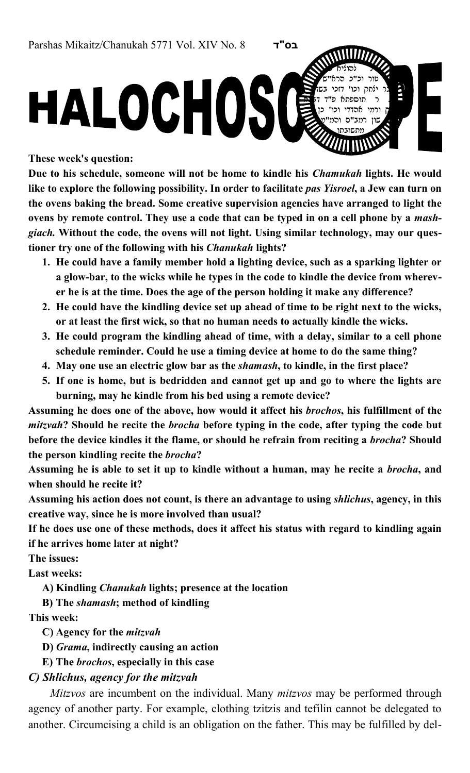These week's question:

Due to his schedule, someone will not be home to kindle his *Chamukah* lights. He would like to explore the following possibility. In order to facilitate pas Yisroel, a Jew can turn on the ovens baking the bread. Some creative supervision agencies have arranged to light the ovens by remote control. They use a code that can be typed in on a cell phone by a *mash*giach. Without the code, the ovens will not light. Using similar technology, may our questioner try one of the following with his *Chanukah* lights?

- 1. He could have a family member hold a lighting device, such as a sparking lighter or a glow-bar, to the wicks while he types in the code to kindle the device from wherever he is at the time. Does the age of the person holding it make any difference?
- 2. He could have the kindling device set up ahead of time to be right next to the wicks, or at least the first wick, so that no human needs to actually kindle the wicks.
- 3. He could program the kindling ahead of time, with a delay, similar to a cell phone schedule reminder. Could he use a timing device at home to do the same thing?
- 4. May one use an electric glow bar as the *shamash*, to kindle, in the first place?
- 5. If one is home, but is bedridden and cannot get up and go to where the lights are burning, may he kindle from his bed using a remote device?

Assuming he does one of the above, how would it affect his brochos, his fulfillment of the mitzvah? Should he recite the *brocha* before typing in the code, after typing the code but before the device kindles it the flame, or should he refrain from reciting a *brocha*? Should the person kindling recite the brocha?

Assuming he is able to set it up to kindle without a human, may he recite a *brocha*, and when should he recite it?

Assuming his action does not count, is there an advantage to using shlichus, agency, in this creative way, since he is more involved than usual?

If he does use one of these methods, does it affect his status with regard to kindling again if he arrives home later at night?

The issues:

Last weeks:

A) Kindling Chanukah lights; presence at the location

B) The shamash; method of kindling

This week:

C) Agency for the mitzvah

D) Grama, indirectly causing an action

E) The brochos, especially in this case

C) Shlichus, agency for the mitzvah

Mitzvos are incumbent on the individual. Many *mitzvos* may be performed through agency of another party. For example, clothing tzitzis and tefilin cannot be delegated to another. Circumcising a child is an obligation on the father. This may be fulfilled by del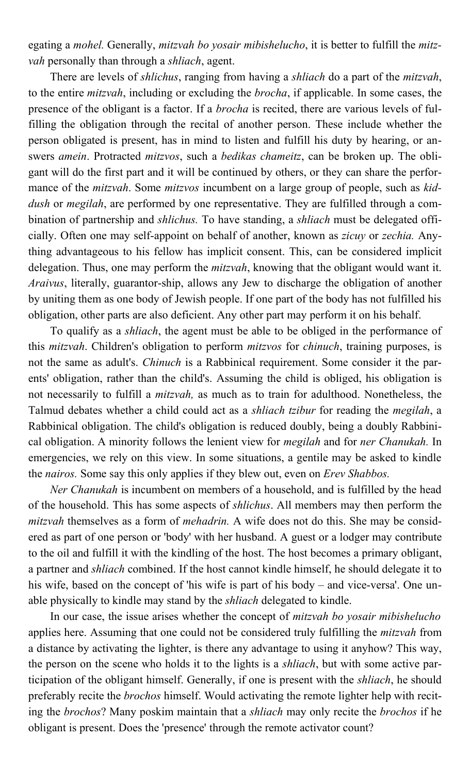egating a mohel. Generally, mitzvah bo yosair mibishelucho, it is better to fulfill the mitzvah personally than through a *shliach*, agent.

There are levels of *shlichus*, ranging from having a *shliach* do a part of the *mitzvah*, to the entire mitzvah, including or excluding the brocha, if applicable. In some cases, the presence of the obligant is a factor. If a *brocha* is recited, there are various levels of fulfilling the obligation through the recital of another person. These include whether the person obligated is present, has in mind to listen and fulfill his duty by hearing, or answers amein. Protracted mitzvos, such a bedikas chameitz, can be broken up. The obligant will do the first part and it will be continued by others, or they can share the performance of the *mitzvah*. Some *mitzvos* incumbent on a large group of people, such as *kid*dush or *megilah*, are performed by one representative. They are fulfilled through a combination of partnership and *shlichus*. To have standing, a *shliach* must be delegated officially. Often one may self-appoint on behalf of another, known as zicuy or zechia. Anything advantageous to his fellow has implicit consent. This, can be considered implicit delegation. Thus, one may perform the *mitzvah*, knowing that the obligant would want it. Araivus, literally, guarantor-ship, allows any Jew to discharge the obligation of another by uniting them as one body of Jewish people. If one part of the body has not fulfilled his obligation, other parts are also deficient. Any other part may perform it on his behalf.

To qualify as a shliach, the agent must be able to be obliged in the performance of this *mitzvah*. Children's obligation to perform *mitzvos* for *chinuch*, training purposes, is not the same as adult's. Chinuch is a Rabbinical requirement. Some consider it the parents' obligation, rather than the child's. Assuming the child is obliged, his obligation is not necessarily to fulfill a mitzvah, as much as to train for adulthood. Nonetheless, the Talmud debates whether a child could act as a *shliach tzibur* for reading the *megilah*, a Rabbinical obligation. The child's obligation is reduced doubly, being a doubly Rabbinical obligation. A minority follows the lenient view for *megilah* and for *ner Chanukah*. In emergencies, we rely on this view. In some situations, a gentile may be asked to kindle the *nairos*. Some say this only applies if they blew out, even on *Erev Shabbos*.

Ner Chanukah is incumbent on members of a household, and is fulfilled by the head of the household. This has some aspects of *shlichus*. All members may then perform the mitzvah themselves as a form of *mehadrin*. A wife does not do this. She may be considered as part of one person or 'body' with her husband. A guest or a lodger may contribute to the oil and fulfill it with the kindling of the host. The host becomes a primary obligant, a partner and shliach combined. If the host cannot kindle himself, he should delegate it to his wife, based on the concept of 'his wife is part of his body – and vice-versa'. One unable physically to kindle may stand by the shliach delegated to kindle.

In our case, the issue arises whether the concept of *mitzvah bo yosair mibishelucho* applies here. Assuming that one could not be considered truly fulfilling the *mitzvah* from a distance by activating the lighter, is there any advantage to using it anyhow? This way, the person on the scene who holds it to the lights is a *shliach*, but with some active participation of the obligant himself. Generally, if one is present with the shliach, he should preferably recite the brochos himself. Would activating the remote lighter help with reciting the brochos? Many poskim maintain that a shliach may only recite the brochos if he obligant is present. Does the 'presence' through the remote activator count?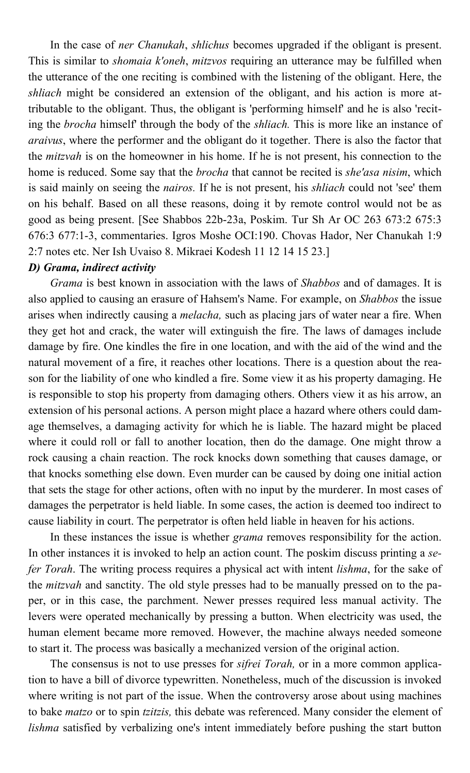In the case of *ner Chanukah*, *shlichus* becomes upgraded if the obligant is present. This is similar to *shomaia k'oneh*, *mitzvos* requiring an utterance may be fulfilled when the utterance of the one reciting is combined with the listening of the obligant. Here, the shliach might be considered an extension of the obligant, and his action is more attributable to the obligant. Thus, the obligant is 'performing himself' and he is also 'reciting the brocha himself' through the body of the shliach. This is more like an instance of araivus, where the performer and the obligant do it together. There is also the factor that the *mitzvah* is on the homeowner in his home. If he is not present, his connection to the home is reduced. Some say that the *brocha* that cannot be recited is *she'asa nisim*, which is said mainly on seeing the *nairos*. If he is not present, his *shliach* could not 'see' them on his behalf. Based on all these reasons, doing it by remote control would not be as good as being present. [See Shabbos 22b-23a, Poskim. Tur Sh Ar OC 263 673:2 675:3 676:3 677:1-3, commentaries. Igros Moshe OCI:190. Chovas Hador, Ner Chanukah 1:9 2:7 notes etc. Ner Ish Uvaiso 8. Mikraei Kodesh 11 12 14 15 23.]

## D) Grama, indirect activity

Grama is best known in association with the laws of Shabbos and of damages. It is also applied to causing an erasure of Hahsem's Name. For example, on Shabbos the issue arises when indirectly causing a *melacha*, such as placing jars of water near a fire. When they get hot and crack, the water will extinguish the fire. The laws of damages include damage by fire. One kindles the fire in one location, and with the aid of the wind and the natural movement of a fire, it reaches other locations. There is a question about the reason for the liability of one who kindled a fire. Some view it as his property damaging. He is responsible to stop his property from damaging others. Others view it as his arrow, an extension of his personal actions. A person might place a hazard where others could damage themselves, a damaging activity for which he is liable. The hazard might be placed where it could roll or fall to another location, then do the damage. One might throw a rock causing a chain reaction. The rock knocks down something that causes damage, or that knocks something else down. Even murder can be caused by doing one initial action that sets the stage for other actions, often with no input by the murderer. In most cases of damages the perpetrator is held liable. In some cases, the action is deemed too indirect to cause liability in court. The perpetrator is often held liable in heaven for his actions.

In these instances the issue is whether *grama* removes responsibility for the action. In other instances it is invoked to help an action count. The poskim discuss printing a sefer Torah. The writing process requires a physical act with intent lishma, for the sake of the *mitzvah* and sanctity. The old style presses had to be manually pressed on to the paper, or in this case, the parchment. Newer presses required less manual activity. The levers were operated mechanically by pressing a button. When electricity was used, the human element became more removed. However, the machine always needed someone to start it. The process was basically a mechanized version of the original action.

The consensus is not to use presses for *sifrei Torah*, or in a more common application to have a bill of divorce typewritten. Nonetheless, much of the discussion is invoked where writing is not part of the issue. When the controversy arose about using machines to bake *matzo* or to spin *tzitzis*, this debate was referenced. Many consider the element of lishma satisfied by verbalizing one's intent immediately before pushing the start button